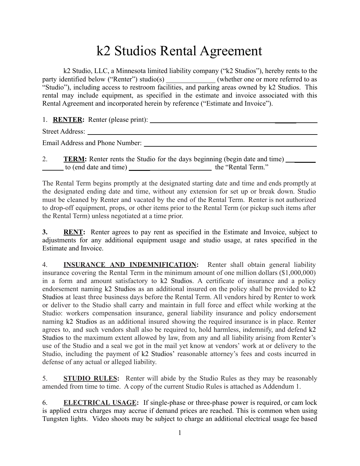## k2 Studios Rental Agreement

k2 Studio, LLC, a Minnesota limited liability company ("k2 Studios"), hereby rents to the party identified below ("Renter") studio(s) (whether one or more referred to as "Studio"), including access to restroom facilities, and parking areas owned by k2 Studios. This rental may include equipment, as specified in the estimate and invoice associated with this Rental Agreement and incorporated herein by reference ("Estimate and Invoice").

1. **RENTER:** Renter (please print): \_\_\_\_\_\_

Street Address:

Email Address and Phone Number: \_\_\_\_\_\_\_\_\_\_\_\_\_\_\_\_\_\_\_\_\_\_\_\_\_\_\_\_\_\_\_\_\_\_\_\_\_\_\_\_\_\_\_\_\_\_\_\_\_

2. **TERM:** Renter rents the Studio for the days beginning (begin date and time) \_\_\_\_\_ to (end date and time) \_\_\_\_\_\_ the "Rental Term."

The Rental Term begins promptly at the designated starting date and time and ends promptly at the designated ending date and time, without any extension for set up or break down. Studio must be cleaned by Renter and vacated by the end of the Rental Term. Renter is not authorized to drop-off equipment, props, or other items prior to the Rental Term (or pickup such items after the Rental Term) unless negotiated at a time prior.

**3. RENT:** Renter agrees to pay rent as specified in the Estimate and Invoice, subject to adjustments for any additional equipment usage and studio usage, at rates specified in the Estimate and Invoice.

4. **INSURANCE AND INDEMNIFICATION:** Renter shall obtain general liability insurance covering the Rental Term in the minimum amount of one million dollars (\$1,000,000) in a form and amount satisfactory to k2 Studios. A certificate of insurance and a policy endorsement naming k2 Studios as an additional insured on the policy shall be provided to k2 Studios at least three business days before the Rental Term. All vendors hired by Renter to work or deliver to the Studio shall carry and maintain in full force and effect while working at the Studio: workers compensation insurance, general liability insurance and policy endorsement naming k2 Studios as an additional insured showing the required insurance is in place. Renter agrees to, and such vendors shall also be required to, hold harmless, indemnify, and defend k2 Studios to the maximum extent allowed by law, from any and all liability arising from Renter's use of the Studio and a seal we got in the mail yet know at vendors' work at or delivery to the Studio, including the payment of k2 Studios' reasonable attorney's fees and costs incurred in defense of any actual or alleged liability.

5. **STUDIO RULES:** Renter will abide by the Studio Rules as they may be reasonably amended from time to time. A copy of the current Studio Rules is attached as Addendum 1.

6. **ELECTRICAL USAGE:** If single-phase or three-phase power is required, or cam lock is applied extra charges may accrue if demand prices are reached. This is common when using Tungsten lights. Video shoots may be subject to charge an additional electrical usage fee based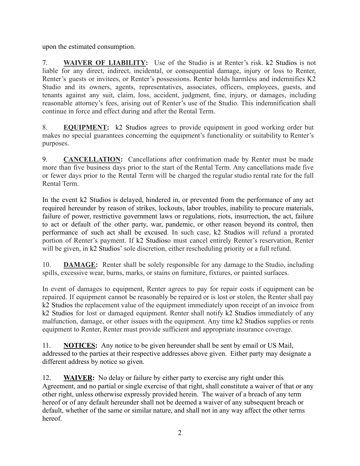upon the estimated consumption.

7. **WAIVER OF LIABILITY:** Use of the Studio is at Renter's risk. k2 Studios is not liable for any direct, indirect, incidental, or consequential damage, injury or loss to Renter, Renter's guests or invitees, or Renter's possessions. Renter holds harmless and indemnifies K2 Studio and its owners, agents, representatives, associates, officers, employees, guests, and tenants against any suit, claim, loss, accident, judgment, fine, injury, or damages, including reasonable attorney's fees, arising out of Renter's use of the Studio. This indemnification shall continue in force and effect during and after the Rental Term.

8. **EQUIPMENT:** k2 Studios agrees to provide equipment in good working order but makes no special guarantees concerning the equipment's functionality or suitability to Renter's purposes.

9. **CANCELLATION:** Cancellations after confrimation made by Renter must be made more than five business days prior to the start of the Rental Term. Any cancellations made five or fewer days prior to the Rental Term will be charged the regular studio rental rate for the full Rental Term.

In the event k2 Studios is delayed, hindered in, or prevented from the performance of any act required hereunder by reason of strikes, lockouts, labor troubles, inability to procure materials, failure of power, restrictive government laws or regulations, riots, insurrection, the act, failure to act or default of the other party, war, pandemic, or other reason beyond its control, then performance of such act shall be excused. In such case, k2 Studios will refund a prorated portion of Renter's payment. If k2 Studioso must cancel entirely Renter's reservation, Renter will be given, in k2 Studios' sole discretion, either rescheduling priority or a full refund.

10. **DAMAGE:** Renter shall be solely responsible for any damage to the Studio, including spills, excessive wear, burns, marks, or stains on furniture, fixtures, or painted surfaces.

In event of damages to equipment, Renter agrees to pay for repair costs if equipment can be repaired. If equipment cannot be reasonably be repaired or is lost or stolen, the Renter shall pay k2 Studios the replacement value of the equipment immediately upon receipt of an invoice from k2 Studios for lost or damaged equipment. Renter shall notify k2 Studios immediately of any malfunction, damage, or other issues with the equipment. Any time k2 Studios supplies or rents equipment to Renter, Renter must provide sufficient and appropriate insurance coverage.

11. **NOTICES:** Any notice to be given hereunder shall be sent by email or US Mail, addressed to the parties at their respective addresses above given. Either party may designate a different address by notice so given.

12. **WAIVER:** No delay or failure by either party to exercise any right under this Agreement, and no partial or single exercise of that right, shall constitute a waiver of that or any other right, unless otherwise expressly provided herein. The waiver of a breach of any term hereof or of any default hereunder shall not be deemed a waiver of any subsequent breach or default, whether of the same or similar nature, and shall not in any way affect the other terms hereof.